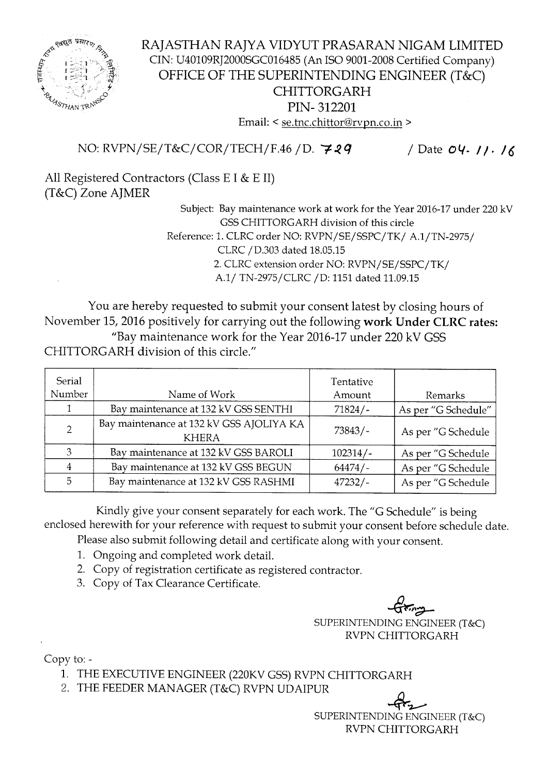

## RAJASTHAN RAJYA VIDYUT PRASARAN NIGAM LIMITED CIN: U40109RJ2000SGC016485 (An ISO 9001-2008 Certified Company) OFFICE OF THE SUPERINTENDING ENGINEER (T&C) CHITTORGARH PIN- 312201 Email: < se.tnc.chittor@rvpn.co.in >

NO: RVPN/SE/T&C/COR/TECH/F.46 / D. 729 / Date 04. *11.* 16

All Registered Contractors (Class E I & E II) (T&C) Zone AJMER

Subject: Bay maintenance work at work for the Year 2016-17 under 220 kV GSS CHITTORGARH division of this circle Reference: 1. CLRC order NO: RVPN/SE/SSPC/TK/ A.1/TN-2975/ CLRC/D.303 dated 18.05.15 2. CLRC extension order NO: RVPN/SE/SSPC/TK/ A.1/ TN-2975/CLRC / D: 1151 dated 11.09.15

You are hereby requested to submit your consent latest by closing hours of November 15, 2016 positively for carrying out the following work Under CLRC rates: "Bay maintenance work for the Year 2016-17 under 220 kV GSS CHITTORGARH division of this circle."

| Serial         |                                                          | Tentative  |                     |
|----------------|----------------------------------------------------------|------------|---------------------|
| Number         | Name of Work                                             | Amount     | Remarks             |
|                | Bay maintenance at 132 kV GSS SENTHI                     | $71824/-$  | As per "G Schedule" |
| $\overline{2}$ | Bay maintenance at 132 kV GSS AJOLIYA KA<br><b>KHERA</b> | $73843/-$  | As per "G Schedule  |
| 3              | Bay maintenance at 132 kV GSS BAROLI                     | $102314/-$ | As per "G Schedule  |
|                | Bay maintenance at 132 kV GSS BEGUN                      | $64474/-$  | As per "G Schedule  |
| 5              | Bay maintenance at 132 kV GSS RASHMI                     | $47232/-$  | As per "G Schedule  |

Kindly give your consent separately for each work. The "G Schedule" is being enclosed herewith for your reference with request to submit your consent before schedule date.

Please also submit following detail and certificate along with your consent.

- 1. Ongoing and completed work detail.
- 2. Copy of registration certificate as registered contractor.
- 3. Copy of Tax Clearance Certificate.

 $\overline{G}$  $\overline{\widetilde{\cdot\cdot}}$ SUPERINTENDING ENGINEER (T&C) RVPN CHITTORGARH

Copy to: -

- 1. THE EXECUTIVE ENGINEER (220KV GSS) RVPN CHITTORGARH
- 2. THE FEEDER MANAGER (T&C) RVPN UDAIPUR

 $\overline{\phantom{a}}$ SUPERINTENDINGENGINEER(T&C) RVPN CHITTORGARH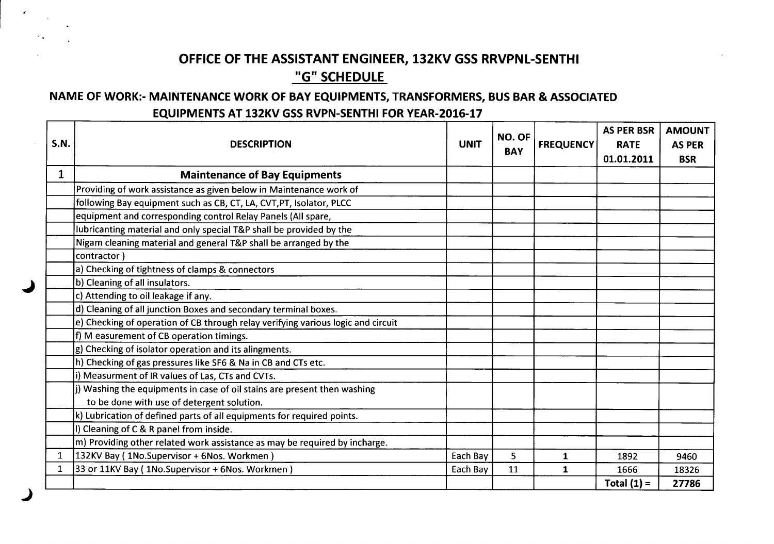# **OFFICE OF THE ASSISTANT ENGINEER, 132KV GSS RRVPNL-SENTHI "G" SCHEDULE**

### **NAME OF WORK:- MAINTENANCE WORK OF BAY EQUIPMENTS, TRANSFORMERS, BUS BAR & ASSOCIATED EQUIPMENTS AT 132KV GSS RVPN-SENTHI FOR YEAR-2016-17**

 $\epsilon$ 

|              |                                                                                  |             | NO. OF     |                  | <b>AS PER BSR</b> | <b>AMOUNT</b> |
|--------------|----------------------------------------------------------------------------------|-------------|------------|------------------|-------------------|---------------|
| S.N.         | <b>DESCRIPTION</b>                                                               | <b>UNIT</b> | <b>BAY</b> | <b>FREQUENCY</b> | <b>RATE</b>       | <b>AS PER</b> |
|              |                                                                                  |             |            |                  | 01.01.2011        | <b>BSR</b>    |
| $\mathbf 1$  | <b>Maintenance of Bay Equipments</b>                                             |             |            |                  |                   |               |
|              | Providing of work assistance as given below in Maintenance work of               |             |            |                  |                   |               |
|              | following Bay equipment such as CB, CT, LA, CVT, PT, Isolator, PLCC              |             |            |                  |                   |               |
|              | equipment and corresponding control Relay Panels (All spare,                     |             |            |                  |                   |               |
|              | lubricanting material and only special T&P shall be provided by the              |             |            |                  |                   |               |
|              | Nigam cleaning material and general T&P shall be arranged by the                 |             |            |                  |                   |               |
|              | contractor)                                                                      |             |            |                  |                   |               |
|              | a) Checking of tightness of clamps & connectors                                  |             |            |                  |                   |               |
|              | b) Cleaning of all insulators.                                                   |             |            |                  |                   |               |
|              | c) Attending to oil leakage if any.                                              |             |            |                  |                   |               |
|              | d) Cleaning of all junction Boxes and secondary terminal boxes.                  |             |            |                  |                   |               |
|              | e) Checking of operation of CB through relay verifying various logic and circuit |             |            |                  |                   |               |
|              | f) M easurement of CB operation timings.                                         |             |            |                  |                   |               |
|              | g) Checking of isolator operation and its alingments.                            |             |            |                  |                   |               |
|              | h) Checking of gas pressures like SF6 & Na in CB and CTs etc.                    |             |            |                  |                   |               |
|              | i) Measurment of IR values of Las, CTs and CVTs.                                 |             |            |                  |                   |               |
|              | j) Washing the equipments in case of oil stains are present then washing         |             |            |                  |                   |               |
|              | to be done with use of detergent solution.                                       |             |            |                  |                   |               |
|              | k) Lubrication of defined parts of all equipments for required points.           |             |            |                  |                   |               |
|              | I) Cleaning of C & R panel from inside.                                          |             |            |                  |                   |               |
|              | m) Providing other related work assistance as may be required by incharge.       |             |            |                  |                   |               |
|              | 132KV Bay (1No.Supervisor + 6Nos. Workmen)                                       | Each Bay    | 5          | 1                | 1892              | 9460          |
| $\mathbf{1}$ | 33 or 11KV Bay (1No.Supervisor + 6Nos. Workmen)                                  | Each Bay    | 11         | $\mathbf{1}$     | 1666              | 18326         |
|              |                                                                                  |             |            |                  | Total $(1)$ =     | 27786         |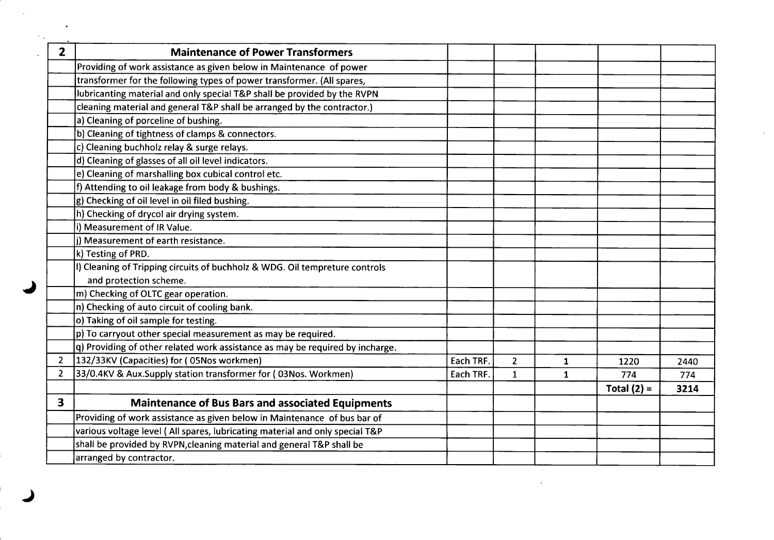| $\overline{2}$          | <b>Maintenance of Power Transformers</b>                                      |           |                |              |               |      |
|-------------------------|-------------------------------------------------------------------------------|-----------|----------------|--------------|---------------|------|
|                         | Providing of work assistance as given below in Maintenance of power           |           |                |              |               |      |
|                         | transformer for the following types of power transformer. (All spares,        |           |                |              |               |      |
|                         | lubricanting material and only special T&P shall be provided by the RVPN      |           |                |              |               |      |
|                         | cleaning material and general T&P shall be arranged by the contractor.)       |           |                |              |               |      |
|                         | a) Cleaning of porceline of bushing.                                          |           |                |              |               |      |
|                         | b) Cleaning of tightness of clamps & connectors.                              |           |                |              |               |      |
|                         | c) Cleaning buchholz relay & surge relays.                                    |           |                |              |               |      |
|                         | d) Cleaning of glasses of all oil level indicators.                           |           |                |              |               |      |
|                         | e) Cleaning of marshalling box cubical control etc.                           |           |                |              |               |      |
|                         | f) Attending to oil leakage from body & bushings.                             |           |                |              |               |      |
|                         | g) Checking of oil level in oil filed bushing.                                |           |                |              |               |      |
|                         | h) Checking of drycol air drying system.                                      |           |                |              |               |      |
|                         | i) Measurement of IR Value.                                                   |           |                |              |               |      |
|                         | j) Measurement of earth resistance.                                           |           |                |              |               |      |
|                         | k) Testing of PRD.                                                            |           |                |              |               |      |
|                         | I) Cleaning of Tripping circuits of buchholz & WDG. Oil tempreture controls   |           |                |              |               |      |
|                         | and protection scheme.                                                        |           |                |              |               |      |
|                         | m) Checking of OLTC gear operation.                                           |           |                |              |               |      |
|                         | n) Checking of auto circuit of cooling bank.                                  |           |                |              |               |      |
|                         | o) Taking of oil sample for testing.                                          |           |                |              |               |      |
|                         | $ p $ To carryout other special measurement as may be required.               |           |                |              |               |      |
|                         | q) Providing of other related work assistance as may be required by incharge. |           |                |              |               |      |
| 2                       | 132/33KV (Capacities) for (05Nos workmen)                                     | Each TRF. | $\overline{2}$ | $\mathbf 1$  | 1220          | 2440 |
| 2                       | 33/0.4KV & Aux.Supply station transformer for (03Nos. Workmen)                | Each TRF. | $\mathbf{1}$   | $\mathbf{1}$ | 774           | 774  |
|                         |                                                                               |           |                |              | Total $(2) =$ | 3214 |
| $\overline{\mathbf{3}}$ | <b>Maintenance of Bus Bars and associated Equipments</b>                      |           |                |              |               |      |
|                         | Providing of work assistance as given below in Maintenance of bus bar of      |           |                |              |               |      |
|                         | various voltage level (All spares, lubricating material and only special T&P  |           |                |              |               |      |
|                         | shall be provided by RVPN, cleaning material and general T&P shall be         |           |                |              |               |      |
|                         | arranged by contractor.                                                       |           |                |              |               |      |

 $\sim$ 

 $\sim$   $\sim$ 

 $\Delta \Delta \sim 10^4$ 

 $\sim$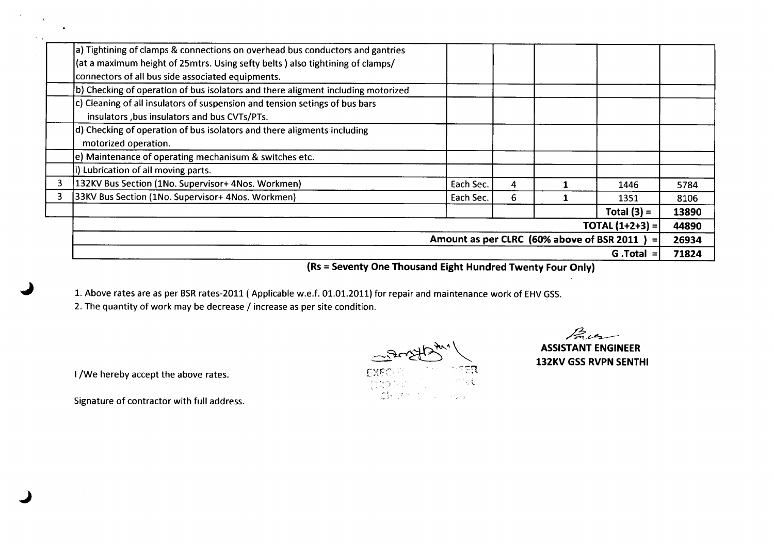|   | a) Tightining of clamps & connections on overhead bus conductors and gantries    |                                            |   |                          |       |
|---|----------------------------------------------------------------------------------|--------------------------------------------|---|--------------------------|-------|
|   | (at a maximum height of 25mtrs. Using sefty belts) also tightining of clamps/    |                                            |   |                          |       |
|   | connectors of all bus side associated equipments.                                |                                            |   |                          |       |
|   | b) Checking of operation of bus isolators and there aligment including motorized |                                            |   |                          |       |
|   | c) Cleaning of all insulators of suspension and tension setings of bus bars      |                                            |   |                          |       |
|   | insulators , bus insulators and bus CVTs/PTs.                                    |                                            |   |                          |       |
|   | d) Checking of operation of bus isolators and there aligments including          |                                            |   |                          |       |
|   | motorized operation.                                                             |                                            |   |                          |       |
|   | e) Maintenance of operating mechanisum & switches etc.                           |                                            |   |                          |       |
|   | i) Lubrication of all moving parts.                                              |                                            |   |                          |       |
| 3 | 132KV Bus Section (1No. Supervisor+ 4Nos. Workmen)                               | Each Sec.                                  | 4 | 1446                     | 5784  |
| 3 | 33KV Bus Section (1No. Supervisor+ 4Nos. Workmen)                                | Each Sec.                                  | 6 | 1351                     | 8106  |
|   |                                                                                  |                                            |   | Total $(3) =$            | 13890 |
|   |                                                                                  |                                            |   | <b>TOTAL</b> $(1+2+3) =$ | 44890 |
|   |                                                                                  | Amount as per CLRC (60% above of BSR 2011) |   | $=$                      | 26934 |
|   |                                                                                  |                                            |   | $G$ . Total $=$          | 71824 |

**(Rs = Seventy One Thousand Eight Hundred Twenty Four Only)**

 $\sim$ ासुस्

1. Above rates are as per BSR rates-2011 (Applicable w.e.f. 01.01.2011) for repair and maintenance work of EHV GSS.

2. The quantity of work may be decrease / increase as per site condition.

 $\mathbb{R}^{n-1}$ **ASSISTANT ENGINEER 132KV GSSRVPN SENTHI**

I /We hereby accept the above rates.

, .

 $\sim$ 

 $\mathbf{r}$ 

 $\bullet$ 

Signature of contractor with full address.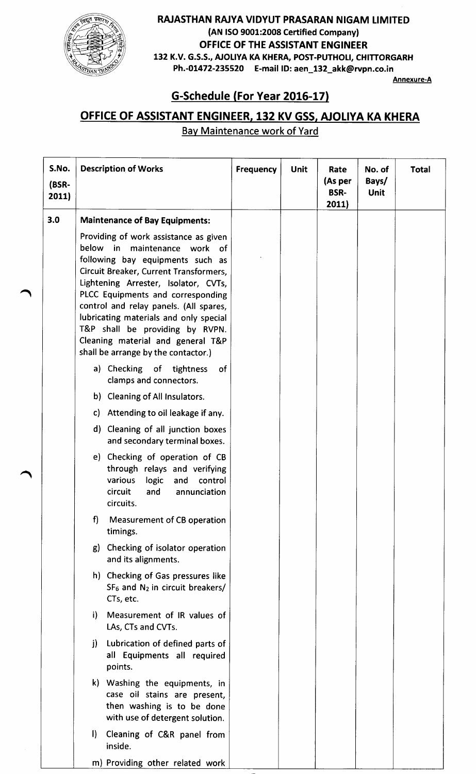

### RAJASTHAN RAJYA VIDYUT PRASARAN NIGAM LIMITED (AN ISO9001:2008 Certified Company) OFFICE OF THE ASSISTANT ENGINEER 132 K.V. G.S.S., AJOLIYA KA KHERA, POST-PUTHOLI, CHITTORGARH Ph.-01472-235520 E-mail ID:aen\_132\_akk@rvpn.co.in

Annexure-A

# G-Schedule (For Year 2016-17)

# OFFICE OF ASSISTANT ENGINEER, 132 KV GSS, AJOLIYA KA KHERA

Bay Maintenance work of Yard

| S.No.<br>(BSR-<br>2011) | <b>Description of Works</b>                                                                                                                                                                                                                                                                                                                                                                                                            | <b>Frequency</b> | <b>Unit</b> | Rate<br>(As per<br><b>BSR-</b><br>2011) | No. of<br>Bays/<br><b>Unit</b> | <b>Total</b> |
|-------------------------|----------------------------------------------------------------------------------------------------------------------------------------------------------------------------------------------------------------------------------------------------------------------------------------------------------------------------------------------------------------------------------------------------------------------------------------|------------------|-------------|-----------------------------------------|--------------------------------|--------------|
| 3.0                     | <b>Maintenance of Bay Equipments:</b>                                                                                                                                                                                                                                                                                                                                                                                                  |                  |             |                                         |                                |              |
|                         | Providing of work assistance as given<br>below in<br>maintenance work of<br>following bay equipments such as<br>Circuit Breaker, Current Transformers,<br>Lightening Arrester, Isolator, CVTs,<br>PLCC Equipments and corresponding<br>control and relay panels. (All spares,<br>lubricating materials and only special<br>T&P shall be providing by RVPN.<br>Cleaning material and general T&P<br>shall be arrange by the contactor.) |                  |             |                                         |                                |              |
|                         | a) Checking of tightness<br>of<br>clamps and connectors.                                                                                                                                                                                                                                                                                                                                                                               |                  |             |                                         |                                |              |
|                         | b) Cleaning of All Insulators.                                                                                                                                                                                                                                                                                                                                                                                                         |                  |             |                                         |                                |              |
|                         | c) Attending to oil leakage if any.                                                                                                                                                                                                                                                                                                                                                                                                    |                  |             |                                         |                                |              |
|                         | d) Cleaning of all junction boxes<br>and secondary terminal boxes.                                                                                                                                                                                                                                                                                                                                                                     |                  |             |                                         |                                |              |
|                         | e) Checking of operation of CB<br>through relays and verifying<br>various<br>control<br>logic<br>and<br>circuit<br>and<br>annunciation<br>circuits.                                                                                                                                                                                                                                                                                    |                  |             |                                         |                                |              |
|                         | f<br>Measurement of CB operation<br>timings.                                                                                                                                                                                                                                                                                                                                                                                           |                  |             |                                         |                                |              |
|                         | g) Checking of isolator operation<br>and its alignments.                                                                                                                                                                                                                                                                                                                                                                               |                  |             |                                         |                                |              |
|                         | h) Checking of Gas pressures like<br>$SF_6$ and $N_2$ in circuit breakers/<br>CTs, etc.                                                                                                                                                                                                                                                                                                                                                |                  |             |                                         |                                |              |
|                         | Measurement of IR values of<br>i)<br>LAs, CTs and CVTs.                                                                                                                                                                                                                                                                                                                                                                                |                  |             |                                         |                                |              |
|                         | j)<br>Lubrication of defined parts of<br>all Equipments all required<br>points.                                                                                                                                                                                                                                                                                                                                                        |                  |             |                                         |                                |              |
|                         | k) Washing the equipments, in<br>case oil stains are present,<br>then washing is to be done<br>with use of detergent solution.                                                                                                                                                                                                                                                                                                         |                  |             |                                         |                                |              |
|                         | $\mathsf{I}$<br>Cleaning of C&R panel from<br>inside.                                                                                                                                                                                                                                                                                                                                                                                  |                  |             |                                         |                                |              |
|                         | m) Providing other related work                                                                                                                                                                                                                                                                                                                                                                                                        |                  |             |                                         |                                |              |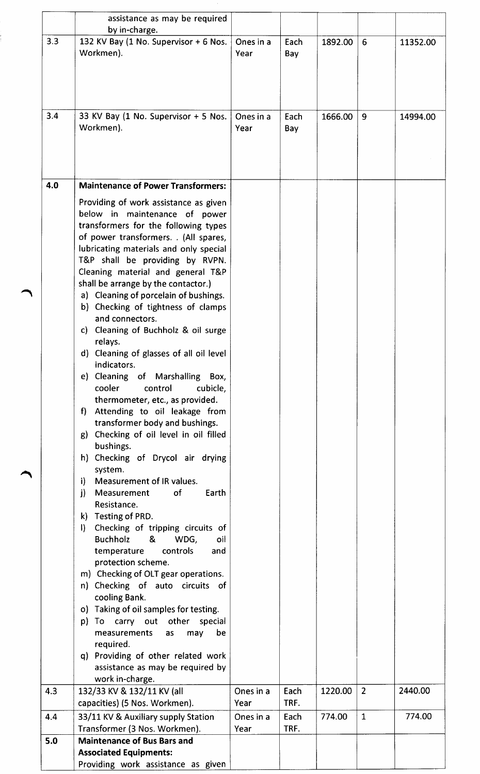|     | assistance as may be required<br>by in-charge.                                                                                                                                                                                                                                                                                                                                                                                                                                                                                                                                                                                                                                                                                                                                                                                                                                                                                                                                                                                                                                                                                                                                                                                                                                                                                                                                                              |                   |              |         |                |          |
|-----|-------------------------------------------------------------------------------------------------------------------------------------------------------------------------------------------------------------------------------------------------------------------------------------------------------------------------------------------------------------------------------------------------------------------------------------------------------------------------------------------------------------------------------------------------------------------------------------------------------------------------------------------------------------------------------------------------------------------------------------------------------------------------------------------------------------------------------------------------------------------------------------------------------------------------------------------------------------------------------------------------------------------------------------------------------------------------------------------------------------------------------------------------------------------------------------------------------------------------------------------------------------------------------------------------------------------------------------------------------------------------------------------------------------|-------------------|--------------|---------|----------------|----------|
| 3.3 | 132 KV Bay (1 No. Supervisor + 6 Nos.<br>Workmen).                                                                                                                                                                                                                                                                                                                                                                                                                                                                                                                                                                                                                                                                                                                                                                                                                                                                                                                                                                                                                                                                                                                                                                                                                                                                                                                                                          | Ones in a<br>Year | Each<br>Bay  | 1892.00 | 6              | 11352.00 |
| 3.4 | 33 KV Bay (1 No. Supervisor + 5 Nos.<br>Workmen).                                                                                                                                                                                                                                                                                                                                                                                                                                                                                                                                                                                                                                                                                                                                                                                                                                                                                                                                                                                                                                                                                                                                                                                                                                                                                                                                                           | Ones in a<br>Year | Each<br>Bay  | 1666.00 | 9              | 14994.00 |
| 4.0 | <b>Maintenance of Power Transformers:</b>                                                                                                                                                                                                                                                                                                                                                                                                                                                                                                                                                                                                                                                                                                                                                                                                                                                                                                                                                                                                                                                                                                                                                                                                                                                                                                                                                                   |                   |              |         |                |          |
|     | Providing of work assistance as given<br>below in maintenance of power<br>transformers for the following types<br>of power transformers. . (All spares,<br>lubricating materials and only special<br>T&P shall be providing by RVPN.<br>Cleaning material and general T&P<br>shall be arrange by the contactor.)<br>a) Cleaning of porcelain of bushings.<br>b) Checking of tightness of clamps<br>and connectors.<br>c) Cleaning of Buchholz & oil surge<br>relays.<br>Cleaning of glasses of all oil level<br>$\mathsf{d}$<br>indicators.<br>e) Cleaning of Marshalling Box,<br>cooler<br>control<br>cubicle,<br>thermometer, etc., as provided.<br>Attending to oil leakage from<br>f)<br>transformer body and bushings.<br>Checking of oil level in oil filled<br>g)<br>bushings.<br>h) Checking of Drycol air drying<br>system.<br>Measurement of IR values.<br>i)<br>of<br>Earth<br>j)<br>Measurement<br>Resistance.<br>k) Testing of PRD.<br>Checking of tripping circuits of<br>$\mathbf{D}$<br><b>Buchholz</b><br>&<br>WDG,<br>oil<br>controls<br>temperature<br>and<br>protection scheme.<br>m) Checking of OLT gear operations.<br>n) Checking of auto circuits of<br>cooling Bank.<br>o) Taking of oil samples for testing.<br>carry out other<br>p)<br>special<br>To<br>measurements<br>be<br>as<br>may<br>required.<br>q) Providing of other related work<br>assistance as may be required by |                   |              |         |                |          |
| 4.3 | work in-charge.<br>132/33 KV & 132/11 KV (all                                                                                                                                                                                                                                                                                                                                                                                                                                                                                                                                                                                                                                                                                                                                                                                                                                                                                                                                                                                                                                                                                                                                                                                                                                                                                                                                                               | Ones in a         | Each         | 1220.00 | $\overline{2}$ | 2440.00  |
|     | capacities) (5 Nos. Workmen).                                                                                                                                                                                                                                                                                                                                                                                                                                                                                                                                                                                                                                                                                                                                                                                                                                                                                                                                                                                                                                                                                                                                                                                                                                                                                                                                                                               | Year              | TRF.<br>Each | 774.00  | $\mathbf{1}$   | 774.00   |
| 4.4 | 33/11 KV & Auxiliary supply Station<br>Transformer (3 Nos. Workmen).                                                                                                                                                                                                                                                                                                                                                                                                                                                                                                                                                                                                                                                                                                                                                                                                                                                                                                                                                                                                                                                                                                                                                                                                                                                                                                                                        | Ones in a<br>Year | TRF.         |         |                |          |
| 5.0 | <b>Maintenance of Bus Bars and</b><br><b>Associated Equipments:</b><br>Providing work assistance as given                                                                                                                                                                                                                                                                                                                                                                                                                                                                                                                                                                                                                                                                                                                                                                                                                                                                                                                                                                                                                                                                                                                                                                                                                                                                                                   |                   |              |         |                |          |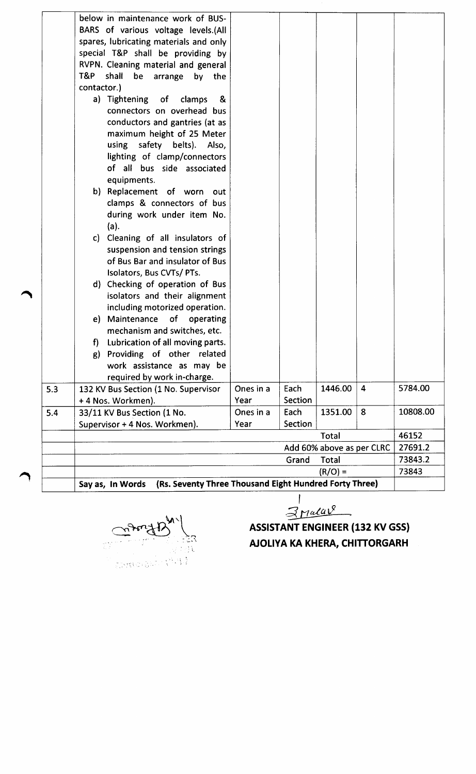|     |             | (Rs. Seventy Three Thousand Eight Hundred Forty Three)<br>Say as, In Words |           |         | $(R/O) =$                 |                |                    |
|-----|-------------|----------------------------------------------------------------------------|-----------|---------|---------------------------|----------------|--------------------|
|     |             |                                                                            |           | Grand   | Total                     |                | 73843              |
|     |             |                                                                            |           |         | Add 60% above as per CLRC |                | 27691.2<br>73843.2 |
|     |             |                                                                            |           |         | Total                     |                | 46152              |
|     |             | Supervisor + 4 Nos. Workmen).                                              | Year      | Section |                           |                |                    |
| 5.4 |             | 33/11 KV Bus Section (1 No.                                                | Ones in a | Each    | 1351.00                   | 8              | 10808.00           |
|     |             | + 4 Nos. Workmen).                                                         | Year      | Section |                           |                |                    |
| 5.3 |             | 132 KV Bus Section (1 No. Supervisor                                       | Ones in a | Each    | 1446.00                   | $\overline{4}$ | 5784.00            |
|     |             | required by work in-charge.                                                |           |         |                           |                |                    |
|     |             | work assistance as may be                                                  |           |         |                           |                |                    |
|     | g)          | Providing of other related                                                 |           |         |                           |                |                    |
|     | f).         | Lubrication of all moving parts.                                           |           |         |                           |                |                    |
|     |             | mechanism and switches, etc.                                               |           |         |                           |                |                    |
|     |             | e) Maintenance<br>of operating                                             |           |         |                           |                |                    |
|     |             | including motorized operation.                                             |           |         |                           |                |                    |
|     |             | isolators and their alignment                                              |           |         |                           |                |                    |
|     |             | d) Checking of operation of Bus                                            |           |         |                           |                |                    |
|     |             | Isolators, Bus CVTs/ PTs.                                                  |           |         |                           |                |                    |
|     |             | of Bus Bar and insulator of Bus                                            |           |         |                           |                |                    |
|     |             | suspension and tension strings                                             |           |         |                           |                |                    |
|     |             | c) Cleaning of all insulators of                                           |           |         |                           |                |                    |
|     |             | (a).                                                                       |           |         |                           |                |                    |
|     |             | during work under item No.                                                 |           |         |                           |                |                    |
|     |             | clamps & connectors of bus                                                 |           |         |                           |                |                    |
|     |             | b) Replacement of worn out                                                 |           |         |                           |                |                    |
|     |             | equipments.                                                                |           |         |                           |                |                    |
|     |             | of all bus side associated                                                 |           |         |                           |                |                    |
|     |             | lighting of clamp/connectors                                               |           |         |                           |                |                    |
|     |             | using<br>safety belts). Also,                                              |           |         |                           |                |                    |
|     |             | maximum height of 25 Meter                                                 |           |         |                           |                |                    |
|     |             | conductors and gantries (at as                                             |           |         |                           |                |                    |
|     |             | connectors on overhead bus                                                 |           |         |                           |                |                    |
|     |             | a) Tightening of clamps<br>&                                               |           |         |                           |                |                    |
|     | contactor.) |                                                                            |           |         |                           |                |                    |
|     | T&P         | RVPN. Cleaning material and general<br>shall<br>be arrange<br>by the       |           |         |                           |                |                    |
|     |             | special T&P shall be providing by                                          |           |         |                           |                |                    |
|     |             | spares, lubricating materials and only                                     |           |         |                           |                |                    |
|     |             | BARS of various voltage levels.(All                                        |           |         |                           |                |                    |
|     |             |                                                                            |           |         |                           |                |                    |

نياتي  $\frac{1}{2} \frac{1}{4}$ Controllate Webs

 $\overline{1}$  $3$ Malar<sup>e</sup>

ASSISTANT ENGINEER (132 KV GSS) AJOLlYA KA KHERA, CHITTORGARH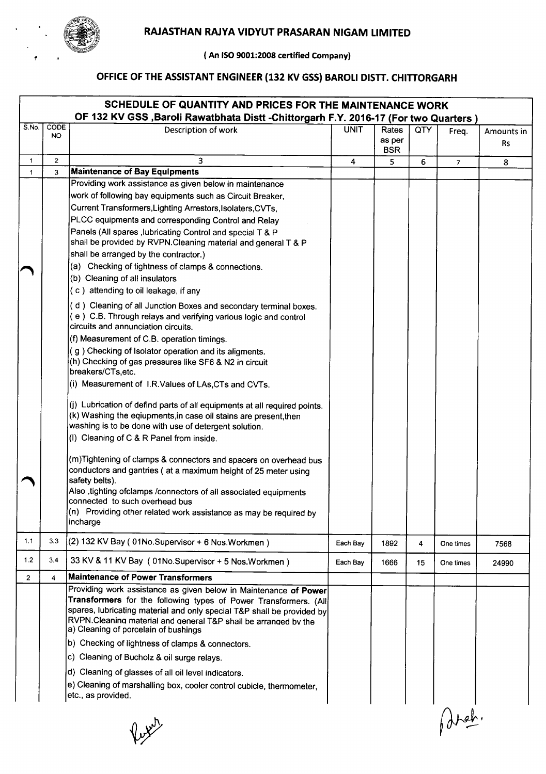

**( An ISO9001:2008 certified Company)**

# **OFFICEOF THEASSISTANTENGINEER(132 KV GSS)BAROL! DISTT. CHITTORGARH**

|       |                | SCHEDULE OF QUANTITY AND PRICES FOR THE MAINTENANCE WORK<br>OF 132 KV GSS , Baroli Rawatbhata Distt - Chittorgarh F.Y. 2016-17 (For two Quarters)                                                                                                                                                                         |             |                               |     |                |                         |
|-------|----------------|---------------------------------------------------------------------------------------------------------------------------------------------------------------------------------------------------------------------------------------------------------------------------------------------------------------------------|-------------|-------------------------------|-----|----------------|-------------------------|
| S.No. | CODE<br>NO.    | Description of work                                                                                                                                                                                                                                                                                                       | <b>UNIT</b> | Rates<br>as per<br><b>BSR</b> | QTY | Freq.          | Amounts in<br><b>Rs</b> |
| 1     | $\overline{2}$ | 3                                                                                                                                                                                                                                                                                                                         | 4           | 5                             | 6   | $\overline{7}$ | 8                       |
| 1     | 3              | <b>Maintenance of Bay Equipments</b>                                                                                                                                                                                                                                                                                      |             |                               |     |                |                         |
|       |                | Providing work assistance as given below in maintenance                                                                                                                                                                                                                                                                   |             |                               |     |                |                         |
|       |                | work of following bay equipments such as Circuit Breaker,                                                                                                                                                                                                                                                                 |             |                               |     |                |                         |
|       |                | Current Transformers, Lighting Arrestors, Isolaters, CVTs,                                                                                                                                                                                                                                                                |             |                               |     |                |                         |
|       |                | PLCC equipments and corresponding Control and Relay                                                                                                                                                                                                                                                                       |             |                               |     |                |                         |
|       |                | Panels (All spares , lubricating Control and special T & P<br>shall be provided by RVPN. Cleaning material and general T & P                                                                                                                                                                                              |             |                               |     |                |                         |
|       |                | shall be arranged by the contractor.)                                                                                                                                                                                                                                                                                     |             |                               |     |                |                         |
|       |                | (a) Checking of tightness of clamps & connections.<br>(b) Cleaning of all insulators                                                                                                                                                                                                                                      |             |                               |     |                |                         |
|       |                | (c) attending to oil leakage, if any                                                                                                                                                                                                                                                                                      |             |                               |     |                |                         |
|       |                | d) Cleaning of all Junction Boxes and secondary terminal boxes.<br>(e) C.B. Through relays and verifying various logic and control<br>circuits and annunciation circuits.                                                                                                                                                 |             |                               |     |                |                         |
|       |                | (f) Measurement of C.B. operation timings.                                                                                                                                                                                                                                                                                |             |                               |     |                |                         |
|       |                | (g) Checking of Isolator operation and its aligments.<br>(h) Checking of gas pressures like SF6 & N2 in circuit<br>breakers/CTs, etc.                                                                                                                                                                                     |             |                               |     |                |                         |
|       |                | (i) Measurement of I.R.Values of LAs, CTs and CVTs.                                                                                                                                                                                                                                                                       |             |                               |     |                |                         |
|       |                | (j) Lubrication of defind parts of all equipments at all required points.<br>(k) Washing the eqiupments, in case oil stains are present, then<br>washing is to be done with use of detergent solution.                                                                                                                    |             |                               |     |                |                         |
|       |                | (I) Cleaning of C & R Panel from inside.                                                                                                                                                                                                                                                                                  |             |                               |     |                |                         |
|       |                | (m)Tightening of clamps & connectors and spacers on overhead bus<br>conductors and gantries (at a maximum height of 25 meter using<br>safety belts).                                                                                                                                                                      |             |                               |     |                |                         |
|       |                | Also , tighting ofclamps / connectors of all associated equipments<br>connected to such overhead bus<br>$(n)$ Providing other related work assistance as may be required by                                                                                                                                               |             |                               |     |                |                         |
|       |                | incharge                                                                                                                                                                                                                                                                                                                  |             |                               |     |                |                         |
| 1.1   | 3.3            | $(2)$ 132 KV Bay (01No.Supervisor + 6 Nos.Workmen)                                                                                                                                                                                                                                                                        | Each Bav    | 1892                          | 4   | One times      | 7568                    |
| 1.2   | 3.4            | 33 KV & 11 KV Bay (01No.Supervisor + 5 Nos.Workmen)<br>Maintenance of Power Transformers                                                                                                                                                                                                                                  | Each Bay    | 1666                          | 15  | One times      | 24990                   |
| 2     | 4              |                                                                                                                                                                                                                                                                                                                           |             |                               |     |                |                         |
|       |                | Providing work assistance as given below in Maintenance of Power<br>Transformers for the following types of Power Transformers. (All<br>spares, lubricating material and only special T&P shall be provided by<br>RVPN.Cleaning material and general T&P shall be arranged by the<br>a) Cleaning of porcelain of bushings |             |                               |     |                |                         |
|       |                | b) Checking of lightness of clamps & connectors.                                                                                                                                                                                                                                                                          |             |                               |     |                |                         |
|       |                | c) Cleaning of Bucholz & oil surge relays.                                                                                                                                                                                                                                                                                |             |                               |     |                |                         |
|       |                | d) Cleaning of glasses of all oil level indicators.                                                                                                                                                                                                                                                                       |             |                               |     |                |                         |
|       |                | e) Cleaning of marshalling box, cooler control cubicle, thermometer,<br>etc., as provided.                                                                                                                                                                                                                                |             |                               |     |                |                         |
|       |                |                                                                                                                                                                                                                                                                                                                           |             |                               |     |                |                         |

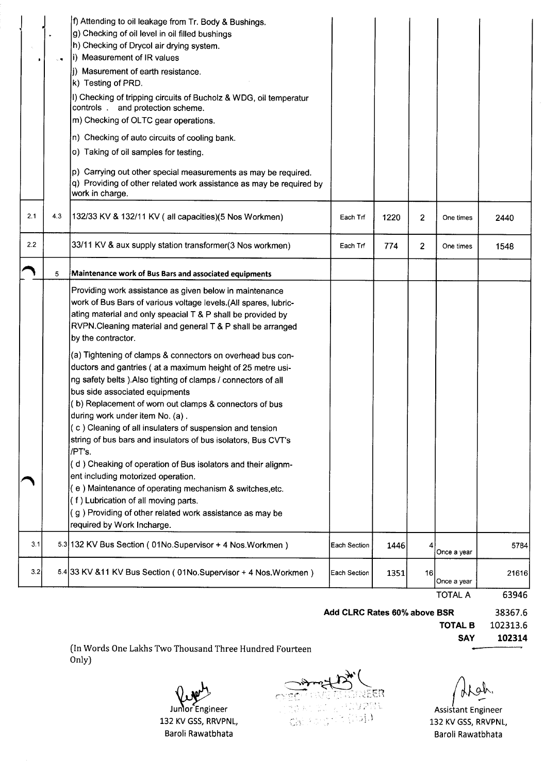|     |     | f) Attending to oil leakage from Tr. Body & Bushings.<br>g) Checking of oil level in oil filled bushings<br>h) Checking of Drycol air drying system.<br>i) Measurement of IR values<br>(j) Masurement of earth resistance.<br>k) Testing of PRD.<br>I) Checking of tripping circuits of Bucholz & WDG, oil temperatur<br>controls . and protection scheme.<br>m) Checking of OLTC gear operations.<br>n) Checking of auto circuits of cooling bank.                                                                                                                                                                                                                                                                                                                                                                                                                                                                                                                                                                    |              |      |                |                |       |
|-----|-----|------------------------------------------------------------------------------------------------------------------------------------------------------------------------------------------------------------------------------------------------------------------------------------------------------------------------------------------------------------------------------------------------------------------------------------------------------------------------------------------------------------------------------------------------------------------------------------------------------------------------------------------------------------------------------------------------------------------------------------------------------------------------------------------------------------------------------------------------------------------------------------------------------------------------------------------------------------------------------------------------------------------------|--------------|------|----------------|----------------|-------|
|     |     | o) Taking of oil samples for testing.<br>p) Carrying out other special measurements as may be required.<br>q) Providing of other related work assistance as may be required by<br>work in charge.                                                                                                                                                                                                                                                                                                                                                                                                                                                                                                                                                                                                                                                                                                                                                                                                                      |              |      |                |                |       |
| 2.1 | 4.3 | 132/33 KV & 132/11 KV (all capacities) (5 Nos Workmen)                                                                                                                                                                                                                                                                                                                                                                                                                                                                                                                                                                                                                                                                                                                                                                                                                                                                                                                                                                 | Each Trf     | 1220 | $\overline{2}$ | One times      | 2440  |
| 2.2 |     | 33/11 KV & aux supply station transformer(3 Nos workmen)                                                                                                                                                                                                                                                                                                                                                                                                                                                                                                                                                                                                                                                                                                                                                                                                                                                                                                                                                               | Each Trf     | 774  | $\overline{2}$ | One times      | 1548  |
|     | 5   | Maintenance work of Bus Bars and associated equipments                                                                                                                                                                                                                                                                                                                                                                                                                                                                                                                                                                                                                                                                                                                                                                                                                                                                                                                                                                 |              |      |                |                |       |
|     |     | Providing work assistance as given below in maintenance<br>work of Bus Bars of various voltage levels.(All spares, lubric-<br>ating material and only speacial T & P shall be provided by<br>RVPN.Cleaning material and general T & P shall be arranged<br>by the contractor.<br>(a) Tightening of clamps & connectors on overhead bus con-<br>ductors and gantries (at a maximum height of 25 metre usi-<br>ng safety belts ). Also tighting of clamps / connectors of all<br>bus side associated equipments<br>(b) Replacement of worn out clamps & connectors of bus<br>during work under item No. (a).<br>(c) Cleaning of all insulaters of suspension and tension<br>string of bus bars and insulators of bus isolators, Bus CVT's<br>/PT's.<br>(d) Cheaking of operation of Bus isolators and their alignm-<br>ent including motorized operation.<br>(e) Maintenance of operating mechanism & switches, etc.<br>(f) Lubrication of all moving parts.<br>(g) Providing of other related work assistance as may be |              |      |                |                |       |
| 3.1 |     | required by Work Incharge.<br>5.3 132 KV Bus Section (01No.Supervisor + 4 Nos.Workmen)                                                                                                                                                                                                                                                                                                                                                                                                                                                                                                                                                                                                                                                                                                                                                                                                                                                                                                                                 | Each Section | 1446 | 4              | Once a year    | 5784  |
| 3.2 |     | 5.4 33 KV & 11 KV Bus Section (01No.Supervisor + 4 Nos.Workmen)                                                                                                                                                                                                                                                                                                                                                                                                                                                                                                                                                                                                                                                                                                                                                                                                                                                                                                                                                        | Each Section | 1351 | 16             | Once a year    | 21616 |
|     |     |                                                                                                                                                                                                                                                                                                                                                                                                                                                                                                                                                                                                                                                                                                                                                                                                                                                                                                                                                                                                                        |              |      |                | <b>TOTAL A</b> | 63946 |

#### **Add CLRC Rates 60% above BSR**

38367.6 102313.6 **102314**

(In Words One Lakhs Two Thousand Three Hundred Fourteen Only)

Juntor Engineer 132 KV GSS, RRVPNL, Baroli Rawatbhata

εŔ 알일  $\langle . \rangle$ 

~~,

**TOTALB SAY**

Assistant Engineer 132 KV GSS, RRVPNL, Baroli Rawatbhata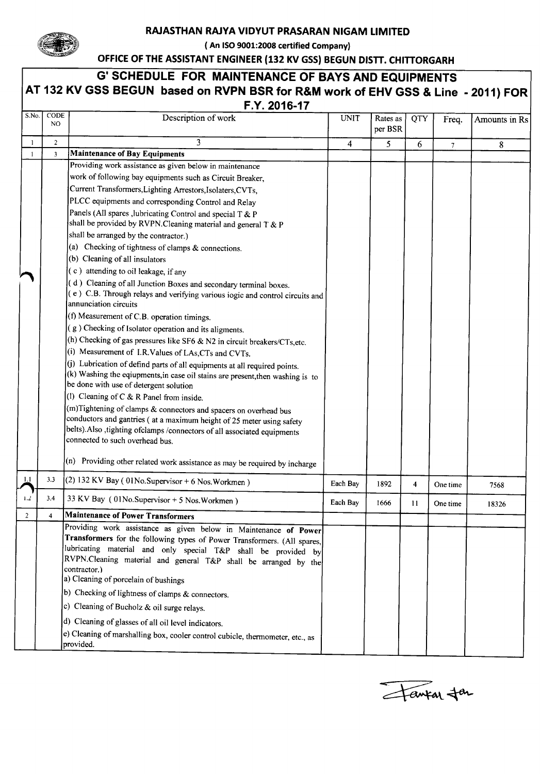

#### **RAJASTHAN RAJVAVIDVUT PRASARAN NIGAM LIMITED**

**( An ISO 9001:2008 certified Company)**

**OFFICEOF THE ASSISTANTENGINEER(132 KV GSS)BEGUN DISTT. CHITTORGARH**

| -1             | N <sub>O</sub><br>$\overline{2}$<br>3 | Description of work<br>3<br><b>Maintenance of Bay Equipments</b>                                                                                            | <b>UNIT</b><br>4 | Rates as<br>per BSR | QTY | Freq.          | Amounts in Rs |
|----------------|---------------------------------------|-------------------------------------------------------------------------------------------------------------------------------------------------------------|------------------|---------------------|-----|----------------|---------------|
|                |                                       |                                                                                                                                                             |                  |                     |     |                |               |
|                |                                       |                                                                                                                                                             |                  | 5                   | 6   | $\overline{7}$ | 8             |
|                |                                       |                                                                                                                                                             |                  |                     |     |                |               |
|                |                                       | Providing work assistance as given below in maintenance                                                                                                     |                  |                     |     |                |               |
|                |                                       | work of following bay equipments such as Circuit Breaker,                                                                                                   |                  |                     |     |                |               |
|                |                                       | Current Transformers, Lighting Arrestors, Isolaters, CVTs,                                                                                                  |                  |                     |     |                |               |
|                |                                       | PLCC equipments and corresponding Control and Relay                                                                                                         |                  |                     |     |                |               |
|                |                                       | Panels (All spares , lubricating Control and special T & P<br>shall be provided by RVPN. Cleaning material and general T & P                                |                  |                     |     |                |               |
|                |                                       | shall be arranged by the contractor.)                                                                                                                       |                  |                     |     |                |               |
|                |                                       | (a) Checking of tightness of clamps $&$ connections.                                                                                                        |                  |                     |     |                |               |
|                |                                       | (b) Cleaning of all insulators                                                                                                                              |                  |                     |     |                |               |
|                |                                       | $(c)$ attending to oil leakage, if any                                                                                                                      |                  |                     |     |                |               |
|                |                                       | (d) Cleaning of all Junction Boxes and secondary terminal boxes.                                                                                            |                  |                     |     |                |               |
|                |                                       | (e) C.B. Through relays and verifying various iogic and control circuits and                                                                                |                  |                     |     |                |               |
|                |                                       | annunciation circuits                                                                                                                                       |                  |                     |     |                |               |
|                |                                       | (f) Measurement of C.B. operation timings.                                                                                                                  |                  |                     |     |                |               |
|                |                                       | (g) Checking of Isolator operation and its aligments.                                                                                                       |                  |                     |     |                |               |
|                |                                       | (h) Checking of gas pressures like SF6 & N2 in circuit breakers/CTs, etc.                                                                                   |                  |                     |     |                |               |
|                |                                       | (i) Measurement of I.R.Values of LAs, CTs and CVTs.                                                                                                         |                  |                     |     |                |               |
|                |                                       | (j) Lubrication of defind parts of all equipments at all required points.<br>(k) Washing the eqiupments, in case oil stains are present, then washing is to |                  |                     |     |                |               |
|                |                                       | be done with use of detergent solution                                                                                                                      |                  |                     |     |                |               |
|                |                                       | (l) Cleaning of $C & R$ Panel from inside.                                                                                                                  |                  |                     |     |                |               |
|                |                                       | (m)Tightening of clamps & connectors and spacers on overhead bus                                                                                            |                  |                     |     |                |               |
|                |                                       | conductors and gantries (at a maximum height of 25 meter using safety                                                                                       |                  |                     |     |                |               |
|                |                                       | belts). Also , tighting of clamps / connectors of all associated equipments                                                                                 |                  |                     |     |                |               |
|                |                                       | connected to such overhead bus.                                                                                                                             |                  |                     |     |                |               |
|                |                                       | $(n)$ Providing other related work assistance as may be required by incharge                                                                                |                  |                     |     |                |               |
| 1.1            | 3.3                                   | $(2)$ 132 KV Bay (01No.Supervisor + 6 Nos.Workmen)                                                                                                          | Each Bay         | 1892                | 4   | One time       | 7568          |
| 1.2            | 3.4                                   | 33 KV Bay (01No.Supervisor + 5 Nos.Workmen)                                                                                                                 | Each Bay         | 1666                | 11  | One time       | 18326         |
| $\overline{2}$ | $\overline{4}$                        | <b>Maintenance of Power Transformers</b>                                                                                                                    |                  |                     |     |                |               |
|                |                                       | Providing work assistance as given below in Maintenance of Power                                                                                            |                  |                     |     |                |               |
|                |                                       | Transformers for the following types of Power Transformers. (All spares,                                                                                    |                  |                     |     |                |               |
|                |                                       | lubricating material and only special T&P shall be provided by<br>RVPN.Cleaning material and general T&P shall be arranged by the                           |                  |                     |     |                |               |
|                |                                       | contractor.)                                                                                                                                                |                  |                     |     |                |               |
|                |                                       | a) Cleaning of porcelain of bushings                                                                                                                        |                  |                     |     |                |               |
|                |                                       | b) Checking of lightness of clamps & connectors.                                                                                                            |                  |                     |     |                |               |
|                |                                       | c) Cleaning of Bucholz & oil surge relays.                                                                                                                  |                  |                     |     |                |               |
|                |                                       |                                                                                                                                                             |                  |                     |     |                |               |
|                |                                       | d) Cleaning of glasses of all oil level indicators.                                                                                                         |                  |                     |     |                |               |
|                |                                       | e) Cleaning of marshalling box, cooler control cubicle, thermometer, etc., as<br>provided.                                                                  |                  |                     |     |                |               |

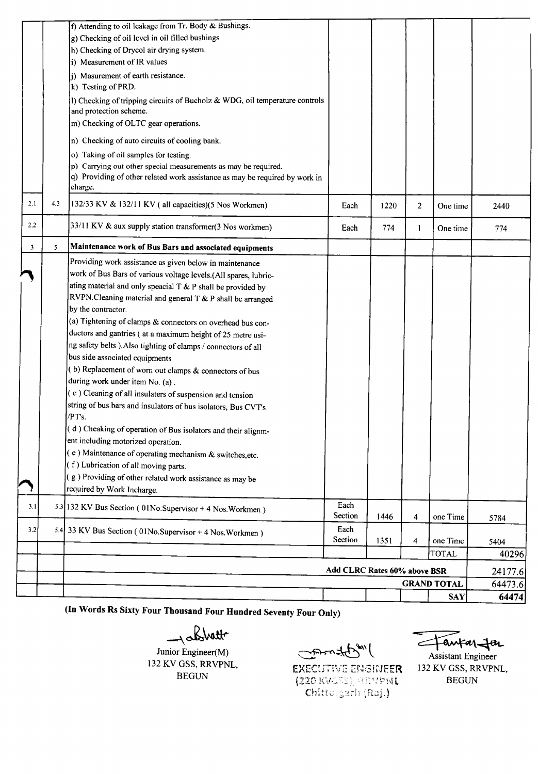|                         |     | f) Attending to oil leakage from Tr. Body & Bushings.                                                 |                              |      |   |                    |               |
|-------------------------|-----|-------------------------------------------------------------------------------------------------------|------------------------------|------|---|--------------------|---------------|
|                         |     | g) Checking of oil level in oil filled bushings                                                       |                              |      |   |                    |               |
|                         |     | h) Checking of Drycol air drying system.                                                              |                              |      |   |                    |               |
|                         |     | i) Measurement of IR values                                                                           |                              |      |   |                    |               |
|                         |     | i) Masurement of earth resistance.                                                                    |                              |      |   |                    |               |
|                         |     | k) Testing of PRD.                                                                                    |                              |      |   |                    |               |
|                         |     | I) Checking of tripping circuits of Bucholz & WDG, oil temperature controls<br>and protection scheme. |                              |      |   |                    |               |
|                         |     | m) Checking of OLTC gear operations.                                                                  |                              |      |   |                    |               |
|                         |     | n) Checking of auto circuits of cooling bank.                                                         |                              |      |   |                    |               |
|                         |     | o) Taking of oil samples for testing.                                                                 |                              |      |   |                    |               |
|                         |     | p) Carrying out other special measurements as may be required.                                        |                              |      |   |                    |               |
|                         |     | q) Providing of other related work assistance as may be required by work in                           |                              |      |   |                    |               |
|                         |     | charge.                                                                                               |                              |      |   |                    |               |
| 2.1                     | 4.3 | $(132/33 \text{ KV} \& 132/11 \text{ KV}$ (all capacities)(5 Nos Workmen)                             | Each                         | 1220 | 2 | One time           | 2440          |
| 2.2                     |     | 33/11 KV & aux supply station transformer(3 Nos workmen)                                              | Each                         | 774  | 1 | One time           | 774           |
| $\overline{\mathbf{3}}$ | 5   | Maintenance work of Bus Bars and associated equipments                                                |                              |      |   |                    |               |
|                         |     | Providing work assistance as given below in maintenance                                               |                              |      |   |                    |               |
|                         |     | work of Bus Bars of various voltage levels.(All spares, lubric-                                       |                              |      |   |                    |               |
|                         |     | ating material and only speacial T & P shall be provided by                                           |                              |      |   |                    |               |
|                         |     | RVPN.Cleaning material and general T & P shall be arranged                                            |                              |      |   |                    |               |
|                         |     | by the contractor.                                                                                    |                              |      |   |                    |               |
|                         |     | (a) Tightening of clamps & connectors on overhead bus con-                                            |                              |      |   |                    |               |
|                         |     | ductors and gantries (at a maximum height of 25 metre usi-                                            |                              |      |   |                    |               |
|                         |     | ng safety belts ). Also tighting of clamps / connectors of all                                        |                              |      |   |                    |               |
|                         |     | bus side associated equipments                                                                        |                              |      |   |                    |               |
|                         |     | (b) Replacement of worn out clamps & connectors of bus                                                |                              |      |   |                    |               |
|                         |     | during work under item No. (a).                                                                       |                              |      |   |                    |               |
|                         |     | (c) Cleaning of all insulaters of suspension and tension                                              |                              |      |   |                    |               |
|                         |     | string of bus bars and insulators of bus isolators, Bus CVT's                                         |                              |      |   |                    |               |
|                         |     | /PT's.                                                                                                |                              |      |   |                    |               |
|                         |     | (d) Cheaking of operation of Bus isolators and their alignm-                                          |                              |      |   |                    |               |
|                         |     | ent including motorized operation.                                                                    |                              |      |   |                    |               |
|                         |     | $(c)$ Maintenance of operating mechanism & switches, etc.                                             |                              |      |   |                    |               |
|                         |     | $(f)$ Lubrication of all moving parts.                                                                |                              |      |   |                    |               |
|                         |     | $(g)$ Providing of other related work assistance as may be                                            |                              |      |   |                    |               |
|                         |     | required by Work Incharge.                                                                            |                              |      |   |                    |               |
| 3.1                     |     | 5.3 132 KV Bus Section (01No.Supervisor + 4 Nos.Workmen)                                              | Each<br>Section              | 1446 | 4 | one Time           | 5784          |
| 3.2                     |     | 5.4 33 KV Bus Section (01No.Supervisor + 4 Nos.Workmen)                                               | Each<br>Section              | 1351 | 4 | one Time           |               |
|                         |     |                                                                                                       |                              |      |   | <b>TOTAL</b>       | 5404<br>40296 |
|                         |     |                                                                                                       |                              |      |   |                    |               |
|                         |     |                                                                                                       | Add CLRC Rates 60% above BSR |      |   |                    | 24177.6       |
|                         |     |                                                                                                       |                              |      |   | <b>GRAND TOTAL</b> | 64473.6       |
|                         |     |                                                                                                       |                              |      |   | <b>SAY</b>         | 64474         |

(In Words Rs Sixty Four Thousand Four Hundred Seventy Four Only)

 $\rightarrow$  abstract to

Junior Engineer(M) 132 KV GSS, RRVPNL, BEGUN

Commatibul

**EXECUTIVE ENGINEER**  $(220 \text{ KUSS}),$  REVPNL Chittorgarh (Raj.)

antar Jer ~~

Assistant Engineer 132 KV GSS, RRVPNL, BEGUN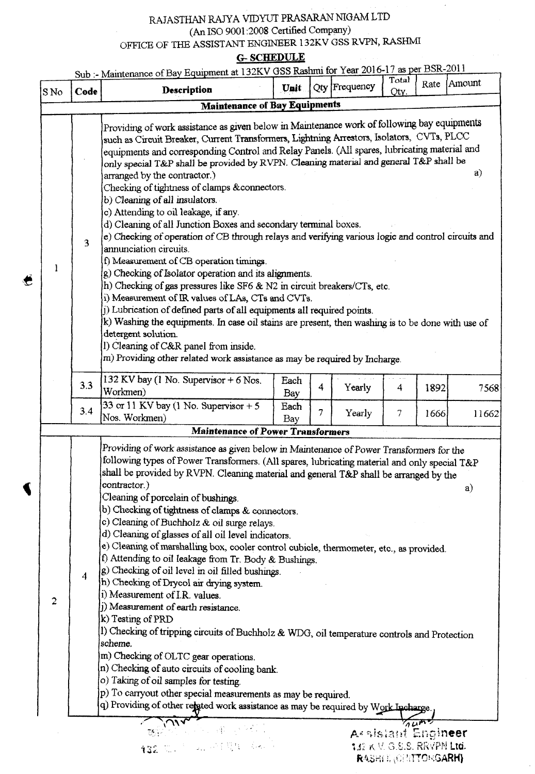### RAJASTHAN RAJYA VIDYUT PRASARAN NIGAM LTD (An ISO 9001 :2008 Certified Company) OFFICE OF THE ASSISTANT ENGINEER 132KV GSS RVPN, RASHMI

G- **SCHEDULE**

| S <sub>No</sub> | Code           | Sub :- Maintenance of Bay Equipment at 132KV GSS Rashmi for Year 2016-17 as per BSR-2011<br>Description                                                                                                                                                                                                                                                                                                                                                                                                                                                                                                                                                                                                                                                                                                                                                                                                                                                                                                                                                                                                                                                                                                                                                                                                            | Unit                |   | Qty Frequency      | Total<br>Oty.                     | Rate | Amount |
|-----------------|----------------|--------------------------------------------------------------------------------------------------------------------------------------------------------------------------------------------------------------------------------------------------------------------------------------------------------------------------------------------------------------------------------------------------------------------------------------------------------------------------------------------------------------------------------------------------------------------------------------------------------------------------------------------------------------------------------------------------------------------------------------------------------------------------------------------------------------------------------------------------------------------------------------------------------------------------------------------------------------------------------------------------------------------------------------------------------------------------------------------------------------------------------------------------------------------------------------------------------------------------------------------------------------------------------------------------------------------|---------------------|---|--------------------|-----------------------------------|------|--------|
|                 |                | <b>Maintenance of Bay Equipments</b>                                                                                                                                                                                                                                                                                                                                                                                                                                                                                                                                                                                                                                                                                                                                                                                                                                                                                                                                                                                                                                                                                                                                                                                                                                                                               |                     |   |                    |                                   |      |        |
| 1               | 3              | Providing of work assistance as given below in Maintenance work of following bay equipments<br>such as Circuit Breaker, Current Transformers, Lightning Arrestors, Isolators, CVTs, PLCC<br>equipments and corresponding Control and Relay Panels. (All spares, lubricating material and<br>only special T&P shall be provided by RVPN. Cleaning material and general T&P shall be<br>arranged by the contractor.)<br>Checking of tightness of clamps & connectors.<br>b) Cleaning of all insulators.<br>c) Attending to oil leakage, if any.<br>d) Cleaning of all Junction Boxes and secondary terminal boxes.<br>e) Checking of operation of CB through relays and verifying various logic and control circuits and<br>annunciation circuits.<br>f) Measurement of CB operation timings.<br>g) Checking of Isolator operation and its alignments.<br>h) Checking of gas pressures like SF6 & N2 in circuit breakers/CTs, etc.<br>i) Measurement of IR values of LAs, CTs and CVTs.<br>j) Lubrication of defined parts of all equipments all required points.<br>k) Washing the equipments. In case oil stains are present, then washing is to be done with use of<br>detergent solution.<br>I) Cleaning of C&R panel from inside.<br>m) Providing other related work assistance as may be required by Incharge. |                     |   |                    |                                   |      | a)     |
|                 | 3.3            | 132 KV bay (1 No. Supervisor $+6$ Nos.<br>Workmen)<br>33 or 11 KV bay (1 No. Supervisor $+5$                                                                                                                                                                                                                                                                                                                                                                                                                                                                                                                                                                                                                                                                                                                                                                                                                                                                                                                                                                                                                                                                                                                                                                                                                       | Each<br>Bay<br>Each | 4 | Yearly             | 4                                 | 1892 | 7568   |
|                 | 3.4            | Nos. Workmen)                                                                                                                                                                                                                                                                                                                                                                                                                                                                                                                                                                                                                                                                                                                                                                                                                                                                                                                                                                                                                                                                                                                                                                                                                                                                                                      | Bay                 | 7 | Yearly             | 7                                 | 1666 | 11662  |
|                 |                | <b>Maintenance of Power Transformers</b>                                                                                                                                                                                                                                                                                                                                                                                                                                                                                                                                                                                                                                                                                                                                                                                                                                                                                                                                                                                                                                                                                                                                                                                                                                                                           |                     |   |                    |                                   |      |        |
|                 | $\overline{4}$ | Providing of work assistance as given below in Maintenance of Power Transformers for the<br>following types of Power Transformers. (All spares, lubricating material and only special T&P<br>shall be provided by RVPN. Cleaning material and general T&P shall be arranged by the<br>contractor.)<br>Cleaning of porcelain of bushings.<br>b) Checking of tightness of clamps & connectors.<br>c) Cleaning of Buchholz & oil surge relays.<br>d) Cleaning of glasses of all oil level indicators.<br>e) Cleaning of marshalling box, cooler control cubicle, thermometer, etc., as provided.<br>f) Attending to oil leakage from Tr. Body & Bushings.<br>g) Checking of oil level in oil filled bushings.<br>h) Checking of Drycol air drying system.<br>i) Measurement of I.R. values.<br>() Measurement of earth resistance.<br>k) Testing of PRD<br>1) Checking of tripping circuits of Buchholz & WDG, oil temperature controls and Protection<br>scheme.<br>m) Checking of OLTC gear operations.<br>n) Checking of auto circuits of cooling bank.<br>o) Taking of oil samples for testing.<br>p) To carryout other special measurements as may be required.<br>q) Providing of other rejeted work assistance as may be required by Work Incharge                                                             |                     |   |                    |                                   |      | a)     |
|                 |                | ハハ                                                                                                                                                                                                                                                                                                                                                                                                                                                                                                                                                                                                                                                                                                                                                                                                                                                                                                                                                                                                                                                                                                                                                                                                                                                                                                                 |                     |   |                    |                                   | 74m  |        |
|                 |                | 132 见, "一项 所有哪个 (表示)                                                                                                                                                                                                                                                                                                                                                                                                                                                                                                                                                                                                                                                                                                                                                                                                                                                                                                                                                                                                                                                                                                                                                                                                                                                                                               |                     |   | Assistant Engineer | <b>132 K V. G.S.S. RKYPN Ltd.</b> |      |        |

€

132 K V. G.S.S. RKVPN Ltd. RASHEL CHITTONGARH)